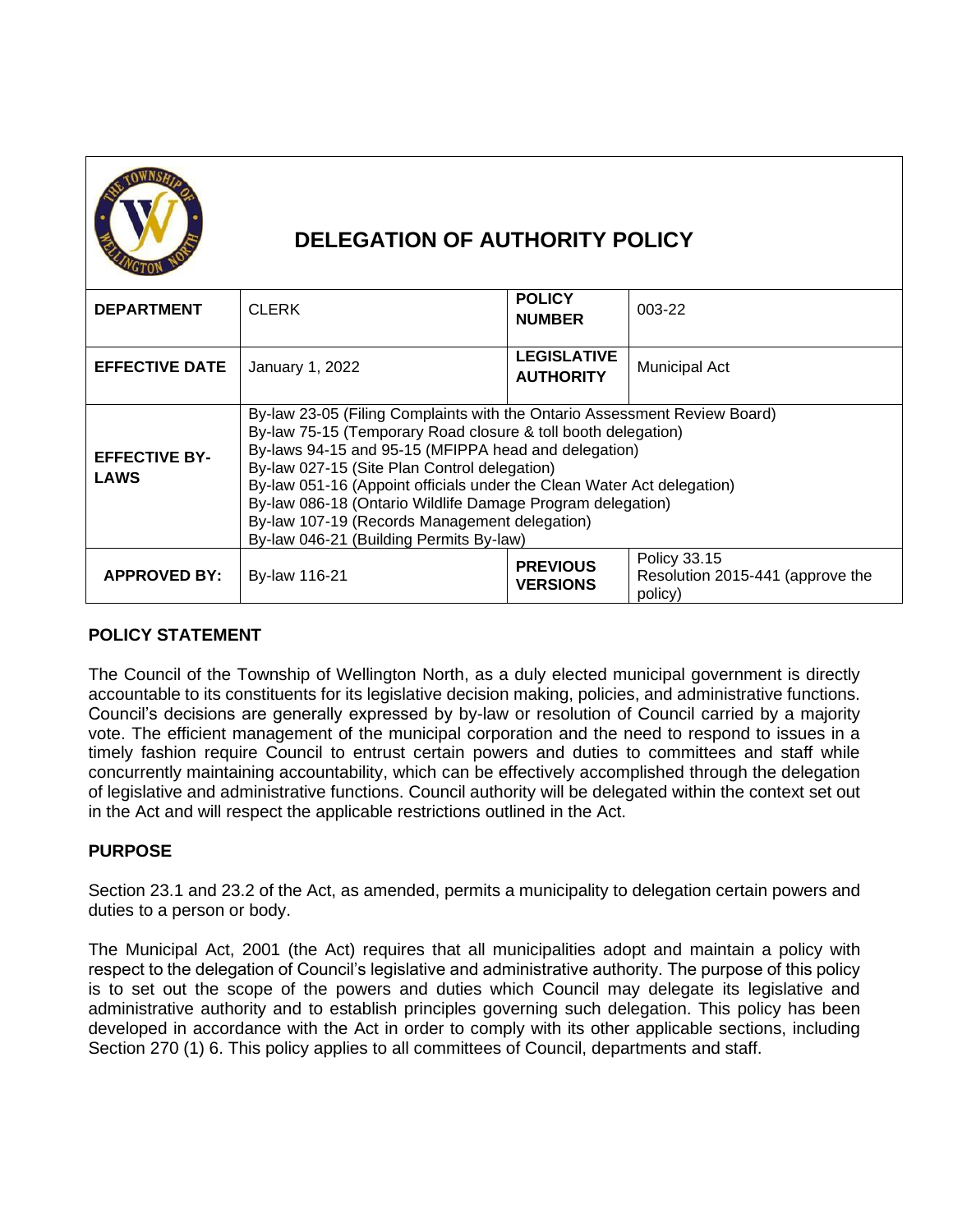

## **DELEGATION OF AUTHORITY POLICY**

| <b>DEPARTMENT</b>                   | <b>CLERK</b>                                                                                                                                                                                                                                                                                                                                                                                                                                                                           | <b>POLICY</b><br><b>NUMBER</b>         | 003-22                                                      |
|-------------------------------------|----------------------------------------------------------------------------------------------------------------------------------------------------------------------------------------------------------------------------------------------------------------------------------------------------------------------------------------------------------------------------------------------------------------------------------------------------------------------------------------|----------------------------------------|-------------------------------------------------------------|
| <b>EFFECTIVE DATE</b>               | January 1, 2022                                                                                                                                                                                                                                                                                                                                                                                                                                                                        | <b>LEGISLATIVE</b><br><b>AUTHORITY</b> | <b>Municipal Act</b>                                        |
| <b>EFFECTIVE BY-</b><br><b>LAWS</b> | By-law 23-05 (Filing Complaints with the Ontario Assessment Review Board)<br>By-law 75-15 (Temporary Road closure & toll booth delegation)<br>By-laws 94-15 and 95-15 (MFIPPA head and delegation)<br>By-law 027-15 (Site Plan Control delegation)<br>By-law 051-16 (Appoint officials under the Clean Water Act delegation)<br>By-law 086-18 (Ontario Wildlife Damage Program delegation)<br>By-law 107-19 (Records Management delegation)<br>By-law 046-21 (Building Permits By-law) |                                        |                                                             |
| <b>APPROVED BY:</b>                 | By-law 116-21                                                                                                                                                                                                                                                                                                                                                                                                                                                                          | <b>PREVIOUS</b><br><b>VERSIONS</b>     | Policy 33.15<br>Resolution 2015-441 (approve the<br>policy) |

## **POLICY STATEMENT**

The Council of the Township of Wellington North, as a duly elected municipal government is directly accountable to its constituents for its legislative decision making, policies, and administrative functions. Council's decisions are generally expressed by by-law or resolution of Council carried by a majority vote. The efficient management of the municipal corporation and the need to respond to issues in a timely fashion require Council to entrust certain powers and duties to committees and staff while concurrently maintaining accountability, which can be effectively accomplished through the delegation of legislative and administrative functions. Council authority will be delegated within the context set out in the Act and will respect the applicable restrictions outlined in the Act.

## **PURPOSE**

Section 23.1 and 23.2 of the Act, as amended, permits a municipality to delegation certain powers and duties to a person or body.

The Municipal Act, 2001 (the Act) requires that all municipalities adopt and maintain a policy with respect to the delegation of Council's legislative and administrative authority. The purpose of this policy is to set out the scope of the powers and duties which Council may delegate its legislative and administrative authority and to establish principles governing such delegation. This policy has been developed in accordance with the Act in order to comply with its other applicable sections, including Section 270 (1) 6. This policy applies to all committees of Council, departments and staff.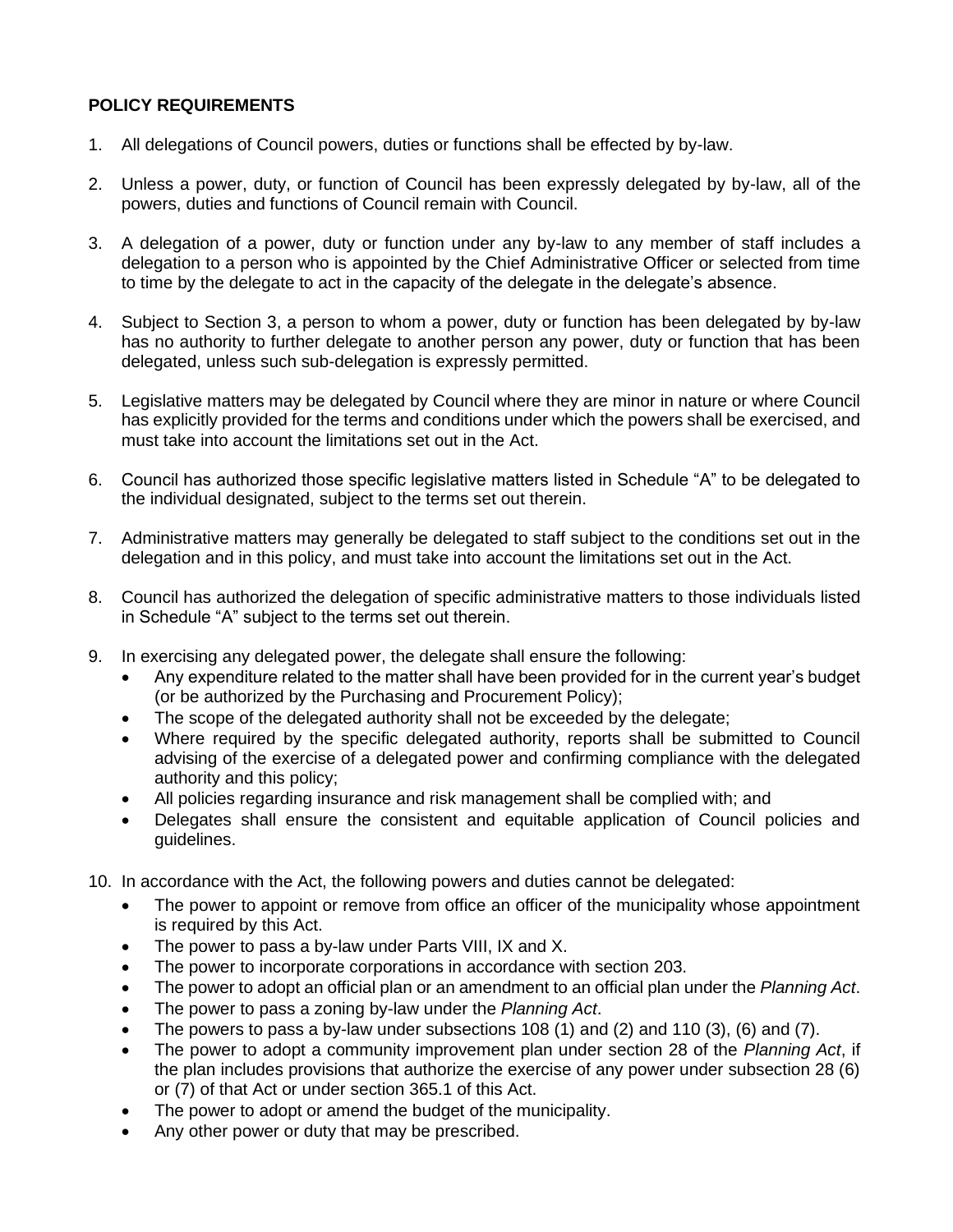## **POLICY REQUIREMENTS**

- 1. All delegations of Council powers, duties or functions shall be effected by by-law.
- 2. Unless a power, duty, or function of Council has been expressly delegated by by-law, all of the powers, duties and functions of Council remain with Council.
- 3. A delegation of a power, duty or function under any by-law to any member of staff includes a delegation to a person who is appointed by the Chief Administrative Officer or selected from time to time by the delegate to act in the capacity of the delegate in the delegate's absence.
- 4. Subject to Section 3, a person to whom a power, duty or function has been delegated by by-law has no authority to further delegate to another person any power, duty or function that has been delegated, unless such sub-delegation is expressly permitted.
- 5. Legislative matters may be delegated by Council where they are minor in nature or where Council has explicitly provided for the terms and conditions under which the powers shall be exercised, and must take into account the limitations set out in the Act.
- 6. Council has authorized those specific legislative matters listed in Schedule "A" to be delegated to the individual designated, subject to the terms set out therein.
- 7. Administrative matters may generally be delegated to staff subject to the conditions set out in the delegation and in this policy, and must take into account the limitations set out in the Act.
- 8. Council has authorized the delegation of specific administrative matters to those individuals listed in Schedule "A" subject to the terms set out therein.
- 9. In exercising any delegated power, the delegate shall ensure the following:
	- Any expenditure related to the matter shall have been provided for in the current year's budget (or be authorized by the Purchasing and Procurement Policy);
	- The scope of the delegated authority shall not be exceeded by the delegate;
	- Where required by the specific delegated authority, reports shall be submitted to Council advising of the exercise of a delegated power and confirming compliance with the delegated authority and this policy;
	- All policies regarding insurance and risk management shall be complied with; and
	- Delegates shall ensure the consistent and equitable application of Council policies and guidelines.
- 10. In accordance with the Act, the following powers and duties cannot be delegated:
	- The power to appoint or remove from office an officer of the municipality whose appointment is required by this Act.
	- The power to pass a by-law under Parts VIII, IX and X.
	- The power to incorporate corporations in accordance with section 203.
	- The power to adopt an official plan or an amendment to an official plan under the *Planning Act*.
	- The power to pass a zoning by-law under the *Planning Act*.
	- The powers to pass a by-law under subsections 108 (1) and (2) and 110 (3), (6) and (7).
	- The power to adopt a community improvement plan under section 28 of the *Planning Act*, if the plan includes provisions that authorize the exercise of any power under subsection 28 (6) or (7) of that Act or under section 365.1 of this Act.
	- The power to adopt or amend the budget of the municipality.
	- Any other power or duty that may be prescribed.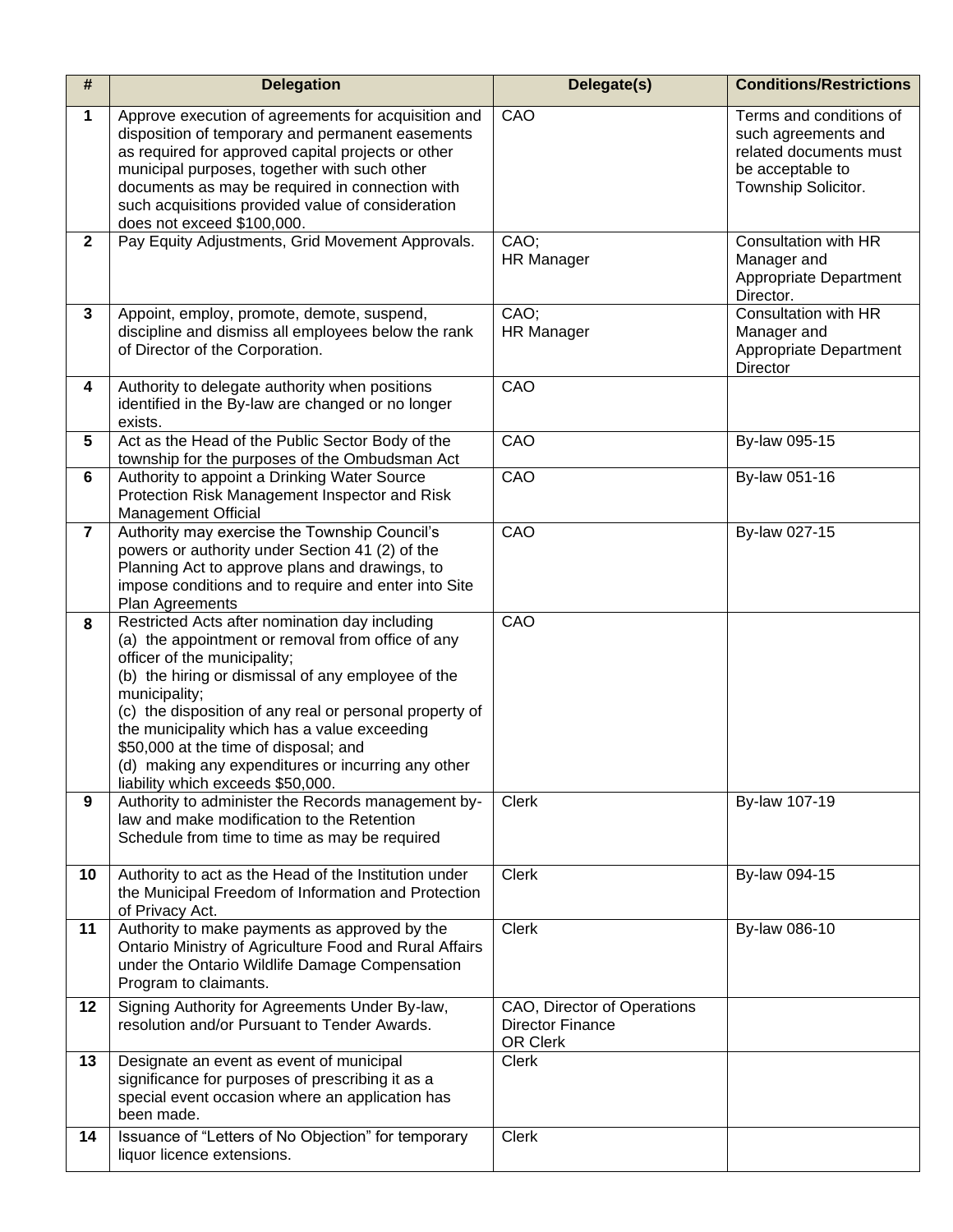| $\#$           | <b>Delegation</b>                                                                                                                                                                                                                                                                                                                                                                                                                                         | Delegate(s)                                                        | <b>Conditions/Restrictions</b>                                                                                      |
|----------------|-----------------------------------------------------------------------------------------------------------------------------------------------------------------------------------------------------------------------------------------------------------------------------------------------------------------------------------------------------------------------------------------------------------------------------------------------------------|--------------------------------------------------------------------|---------------------------------------------------------------------------------------------------------------------|
| 1              | Approve execution of agreements for acquisition and<br>disposition of temporary and permanent easements<br>as required for approved capital projects or other<br>municipal purposes, together with such other<br>documents as may be required in connection with<br>such acquisitions provided value of consideration<br>does not exceed \$100,000.                                                                                                       | CAO                                                                | Terms and conditions of<br>such agreements and<br>related documents must<br>be acceptable to<br>Township Solicitor. |
| $\mathbf 2$    | Pay Equity Adjustments, Grid Movement Approvals.                                                                                                                                                                                                                                                                                                                                                                                                          | CAO;<br><b>HR Manager</b>                                          | Consultation with HR<br>Manager and<br>Appropriate Department<br>Director.                                          |
| 3              | Appoint, employ, promote, demote, suspend,<br>discipline and dismiss all employees below the rank<br>of Director of the Corporation.                                                                                                                                                                                                                                                                                                                      | CAO;<br><b>HR Manager</b>                                          | Consultation with HR<br>Manager and<br>Appropriate Department<br>Director                                           |
| 4              | Authority to delegate authority when positions<br>identified in the By-law are changed or no longer<br>exists.                                                                                                                                                                                                                                                                                                                                            | CAO                                                                |                                                                                                                     |
| 5              | Act as the Head of the Public Sector Body of the<br>township for the purposes of the Ombudsman Act                                                                                                                                                                                                                                                                                                                                                        | CAO                                                                | By-law 095-15                                                                                                       |
| 6              | Authority to appoint a Drinking Water Source<br>Protection Risk Management Inspector and Risk<br><b>Management Official</b>                                                                                                                                                                                                                                                                                                                               | CAO                                                                | By-law 051-16                                                                                                       |
| $\overline{7}$ | Authority may exercise the Township Council's<br>powers or authority under Section 41 (2) of the<br>Planning Act to approve plans and drawings, to<br>impose conditions and to require and enter into Site<br>Plan Agreements                                                                                                                                                                                                                             | CAO                                                                | By-law 027-15                                                                                                       |
| 8              | Restricted Acts after nomination day including<br>(a) the appointment or removal from office of any<br>officer of the municipality;<br>(b) the hiring or dismissal of any employee of the<br>municipality;<br>(c) the disposition of any real or personal property of<br>the municipality which has a value exceeding<br>\$50,000 at the time of disposal; and<br>(d) making any expenditures or incurring any other<br>liability which exceeds \$50,000. | CAO                                                                |                                                                                                                     |
| 9              | Authority to administer the Records management by-<br>law and make modification to the Retention<br>Schedule from time to time as may be required                                                                                                                                                                                                                                                                                                         | Clerk                                                              | By-law 107-19                                                                                                       |
| 10             | Authority to act as the Head of the Institution under<br>the Municipal Freedom of Information and Protection<br>of Privacy Act.                                                                                                                                                                                                                                                                                                                           | Clerk                                                              | By-law 094-15                                                                                                       |
| 11             | Authority to make payments as approved by the<br>Ontario Ministry of Agriculture Food and Rural Affairs<br>under the Ontario Wildlife Damage Compensation<br>Program to claimants.                                                                                                                                                                                                                                                                        | <b>Clerk</b>                                                       | By-law 086-10                                                                                                       |
| 12             | Signing Authority for Agreements Under By-law,<br>resolution and/or Pursuant to Tender Awards.                                                                                                                                                                                                                                                                                                                                                            | CAO, Director of Operations<br><b>Director Finance</b><br>OR Clerk |                                                                                                                     |
| 13             | Designate an event as event of municipal<br>significance for purposes of prescribing it as a<br>special event occasion where an application has<br>been made.                                                                                                                                                                                                                                                                                             | <b>Clerk</b>                                                       |                                                                                                                     |
| 14             | Issuance of "Letters of No Objection" for temporary<br>liquor licence extensions.                                                                                                                                                                                                                                                                                                                                                                         | <b>Clerk</b>                                                       |                                                                                                                     |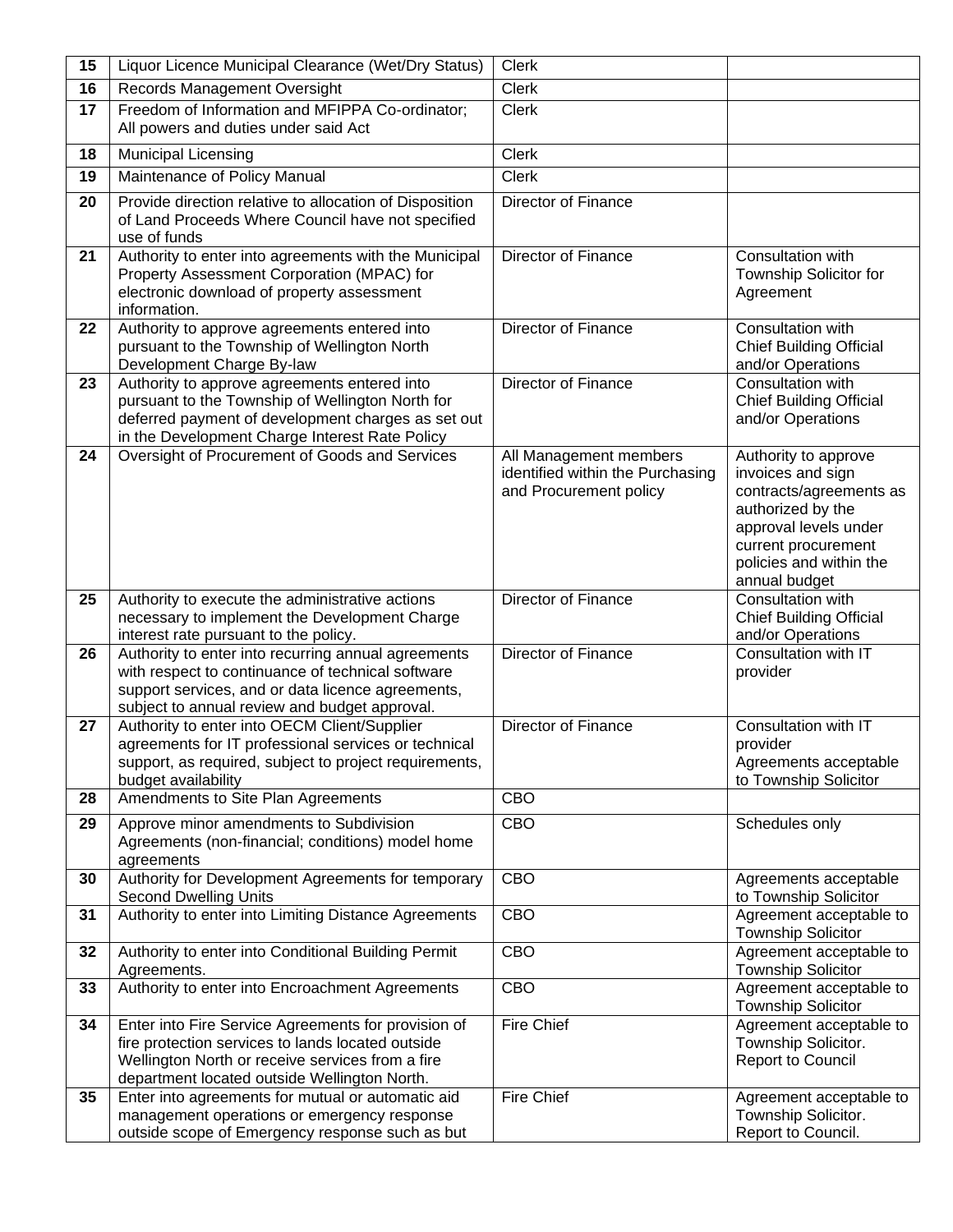| 15 | Liquor Licence Municipal Clearance (Wet/Dry Status)                                                                                                                                                            | <b>Clerk</b>                                                                         |                                                                                                                                                                                       |
|----|----------------------------------------------------------------------------------------------------------------------------------------------------------------------------------------------------------------|--------------------------------------------------------------------------------------|---------------------------------------------------------------------------------------------------------------------------------------------------------------------------------------|
| 16 | Records Management Oversight                                                                                                                                                                                   | <b>Clerk</b>                                                                         |                                                                                                                                                                                       |
| 17 | Freedom of Information and MFIPPA Co-ordinator;<br>All powers and duties under said Act                                                                                                                        | <b>Clerk</b>                                                                         |                                                                                                                                                                                       |
| 18 | Municipal Licensing                                                                                                                                                                                            | <b>Clerk</b>                                                                         |                                                                                                                                                                                       |
| 19 | Maintenance of Policy Manual                                                                                                                                                                                   | <b>Clerk</b>                                                                         |                                                                                                                                                                                       |
| 20 | Provide direction relative to allocation of Disposition<br>of Land Proceeds Where Council have not specified<br>use of funds                                                                                   | Director of Finance                                                                  |                                                                                                                                                                                       |
| 21 | Authority to enter into agreements with the Municipal<br>Property Assessment Corporation (MPAC) for<br>electronic download of property assessment<br>information.                                              | Director of Finance                                                                  | Consultation with<br>Township Solicitor for<br>Agreement                                                                                                                              |
| 22 | Authority to approve agreements entered into<br>pursuant to the Township of Wellington North<br>Development Charge By-law                                                                                      | Director of Finance                                                                  | Consultation with<br><b>Chief Building Official</b><br>and/or Operations                                                                                                              |
| 23 | Authority to approve agreements entered into<br>pursuant to the Township of Wellington North for<br>deferred payment of development charges as set out<br>in the Development Charge Interest Rate Policy       | Director of Finance                                                                  | Consultation with<br><b>Chief Building Official</b><br>and/or Operations                                                                                                              |
| 24 | Oversight of Procurement of Goods and Services                                                                                                                                                                 | All Management members<br>identified within the Purchasing<br>and Procurement policy | Authority to approve<br>invoices and sign<br>contracts/agreements as<br>authorized by the<br>approval levels under<br>current procurement<br>policies and within the<br>annual budget |
| 25 | Authority to execute the administrative actions<br>necessary to implement the Development Charge<br>interest rate pursuant to the policy.                                                                      | Director of Finance                                                                  | Consultation with<br><b>Chief Building Official</b><br>and/or Operations                                                                                                              |
| 26 | Authority to enter into recurring annual agreements<br>with respect to continuance of technical software<br>support services, and or data licence agreements,<br>subject to annual review and budget approval. | Director of Finance                                                                  | Consultation with IT<br>provider                                                                                                                                                      |
| 27 | Authority to enter into OECM Client/Supplier<br>agreements for IT professional services or technical<br>support, as required, subject to project requirements,<br>budget availability                          | Director of Finance                                                                  | Consultation with IT<br>provider<br>Agreements acceptable<br>to Township Solicitor                                                                                                    |
| 28 | Amendments to Site Plan Agreements                                                                                                                                                                             | CBO                                                                                  |                                                                                                                                                                                       |
| 29 | Approve minor amendments to Subdivision<br>Agreements (non-financial; conditions) model home<br>agreements                                                                                                     | CBO                                                                                  | Schedules only                                                                                                                                                                        |
| 30 | Authority for Development Agreements for temporary<br><b>Second Dwelling Units</b>                                                                                                                             | CBO                                                                                  | Agreements acceptable<br>to Township Solicitor                                                                                                                                        |
| 31 | Authority to enter into Limiting Distance Agreements                                                                                                                                                           | CBO                                                                                  | Agreement acceptable to<br><b>Township Solicitor</b>                                                                                                                                  |
| 32 | Authority to enter into Conditional Building Permit<br>Agreements.                                                                                                                                             | CBO                                                                                  | Agreement acceptable to<br><b>Township Solicitor</b>                                                                                                                                  |
| 33 | Authority to enter into Encroachment Agreements                                                                                                                                                                | CBO                                                                                  | Agreement acceptable to<br><b>Township Solicitor</b>                                                                                                                                  |
| 34 | Enter into Fire Service Agreements for provision of<br>fire protection services to lands located outside<br>Wellington North or receive services from a fire<br>department located outside Wellington North.   | <b>Fire Chief</b>                                                                    | Agreement acceptable to<br>Township Solicitor.<br><b>Report to Council</b>                                                                                                            |
| 35 | Enter into agreements for mutual or automatic aid<br>management operations or emergency response<br>outside scope of Emergency response such as but                                                            | <b>Fire Chief</b>                                                                    | Agreement acceptable to<br>Township Solicitor.<br>Report to Council.                                                                                                                  |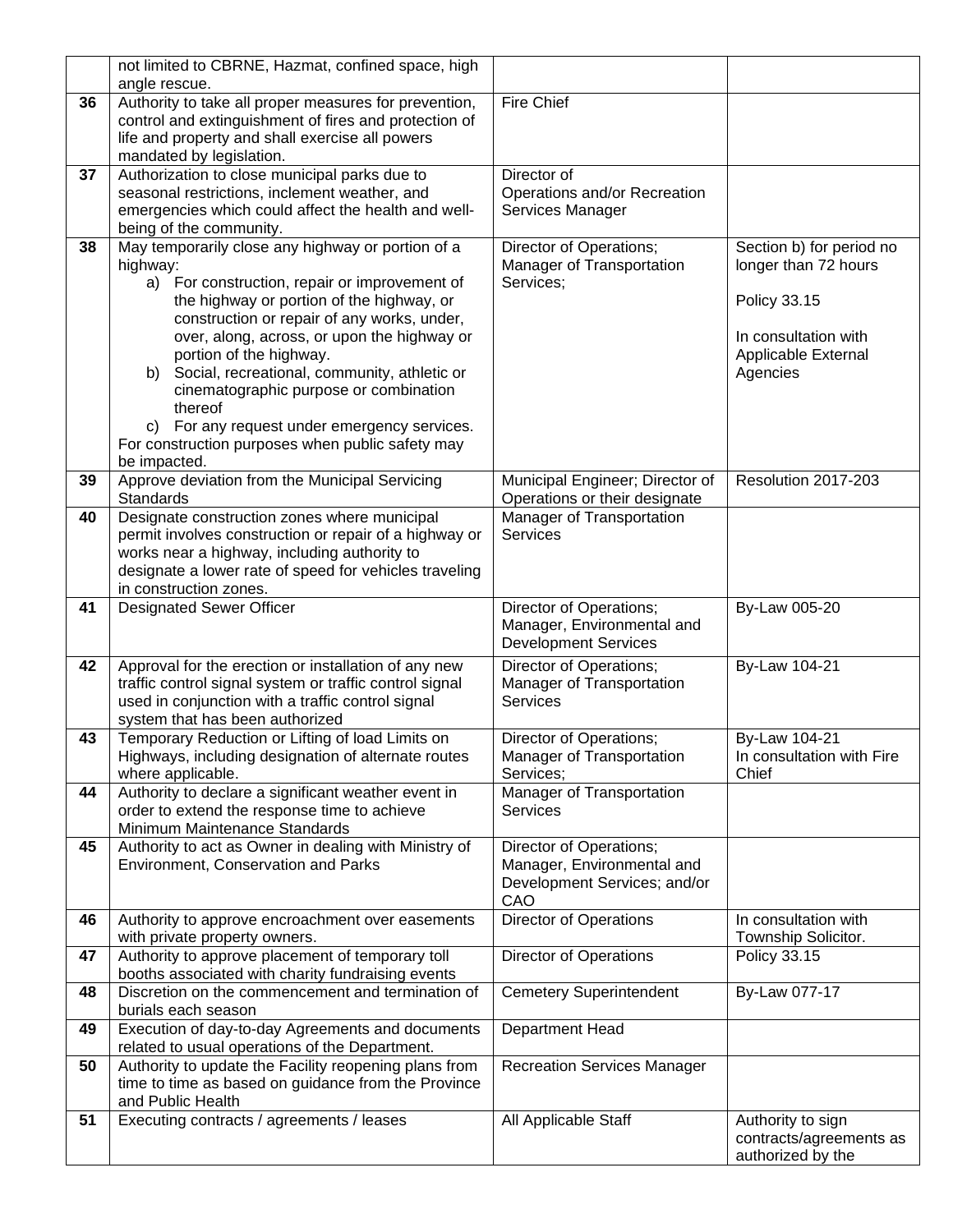|    | not limited to CBRNE, Hazmat, confined space, high                                                      |                                                      |                                            |
|----|---------------------------------------------------------------------------------------------------------|------------------------------------------------------|--------------------------------------------|
|    | angle rescue.                                                                                           |                                                      |                                            |
| 36 | Authority to take all proper measures for prevention,                                                   | <b>Fire Chief</b>                                    |                                            |
|    | control and extinguishment of fires and protection of                                                   |                                                      |                                            |
|    | life and property and shall exercise all powers                                                         |                                                      |                                            |
|    | mandated by legislation.                                                                                |                                                      |                                            |
| 37 | Authorization to close municipal parks due to                                                           | Director of                                          |                                            |
|    | seasonal restrictions, inclement weather, and                                                           | Operations and/or Recreation                         |                                            |
|    | emergencies which could affect the health and well-                                                     | Services Manager                                     |                                            |
|    | being of the community.                                                                                 |                                                      |                                            |
| 38 | May temporarily close any highway or portion of a                                                       | Director of Operations;                              | Section b) for period no                   |
|    | highway:                                                                                                | Manager of Transportation                            | longer than 72 hours                       |
|    | a) For construction, repair or improvement of                                                           | Services;                                            |                                            |
|    | the highway or portion of the highway, or                                                               |                                                      | <b>Policy 33.15</b>                        |
|    | construction or repair of any works, under,                                                             |                                                      | In consultation with                       |
|    | over, along, across, or upon the highway or                                                             |                                                      |                                            |
|    | portion of the highway.                                                                                 |                                                      | Applicable External                        |
|    | Social, recreational, community, athletic or<br>b)<br>cinematographic purpose or combination            |                                                      | Agencies                                   |
|    | thereof                                                                                                 |                                                      |                                            |
|    | c) For any request under emergency services.                                                            |                                                      |                                            |
|    | For construction purposes when public safety may                                                        |                                                      |                                            |
|    | be impacted.                                                                                            |                                                      |                                            |
| 39 | Approve deviation from the Municipal Servicing                                                          | Municipal Engineer; Director of                      | Resolution 2017-203                        |
|    | <b>Standards</b>                                                                                        | Operations or their designate                        |                                            |
| 40 | Designate construction zones where municipal                                                            | Manager of Transportation                            |                                            |
|    | permit involves construction or repair of a highway or                                                  | Services                                             |                                            |
|    | works near a highway, including authority to                                                            |                                                      |                                            |
|    | designate a lower rate of speed for vehicles traveling                                                  |                                                      |                                            |
|    | in construction zones.                                                                                  |                                                      |                                            |
| 41 | <b>Designated Sewer Officer</b>                                                                         | Director of Operations;                              | By-Law 005-20                              |
|    |                                                                                                         | Manager, Environmental and                           |                                            |
|    |                                                                                                         | <b>Development Services</b>                          |                                            |
| 42 | Approval for the erection or installation of any new                                                    | Director of Operations;                              | By-Law 104-21                              |
|    | traffic control signal system or traffic control signal                                                 | Manager of Transportation                            |                                            |
|    | used in conjunction with a traffic control signal                                                       | <b>Services</b>                                      |                                            |
|    | system that has been authorized                                                                         |                                                      |                                            |
| 43 | Temporary Reduction or Lifting of load Limits on<br>Highways, including designation of alternate routes | Director of Operations;<br>Manager of Transportation | By-Law 104-21<br>In consultation with Fire |
|    | where applicable.                                                                                       | Services;                                            | Chief                                      |
| 44 | Authority to declare a significant weather event in                                                     | Manager of Transportation                            |                                            |
|    | order to extend the response time to achieve                                                            | <b>Services</b>                                      |                                            |
|    | Minimum Maintenance Standards                                                                           |                                                      |                                            |
| 45 | Authority to act as Owner in dealing with Ministry of                                                   | Director of Operations;                              |                                            |
|    | Environment, Conservation and Parks                                                                     | Manager, Environmental and                           |                                            |
|    |                                                                                                         | Development Services; and/or                         |                                            |
|    |                                                                                                         | CAO                                                  |                                            |
| 46 | Authority to approve encroachment over easements                                                        | <b>Director of Operations</b>                        | In consultation with                       |
|    | with private property owners.                                                                           |                                                      | Township Solicitor.                        |
| 47 | Authority to approve placement of temporary toll                                                        | <b>Director of Operations</b>                        | <b>Policy 33.15</b>                        |
|    | booths associated with charity fundraising events                                                       |                                                      |                                            |
| 48 | Discretion on the commencement and termination of                                                       | <b>Cemetery Superintendent</b>                       | By-Law 077-17                              |
|    | burials each season                                                                                     |                                                      |                                            |
| 49 | Execution of day-to-day Agreements and documents                                                        | Department Head                                      |                                            |
| 50 | related to usual operations of the Department.<br>Authority to update the Facility reopening plans from |                                                      |                                            |
|    | time to time as based on guidance from the Province                                                     | <b>Recreation Services Manager</b>                   |                                            |
|    | and Public Health                                                                                       |                                                      |                                            |
| 51 | Executing contracts / agreements / leases                                                               | All Applicable Staff                                 | Authority to sign                          |
|    |                                                                                                         |                                                      | contracts/agreements as                    |
|    |                                                                                                         |                                                      | authorized by the                          |
|    |                                                                                                         |                                                      |                                            |